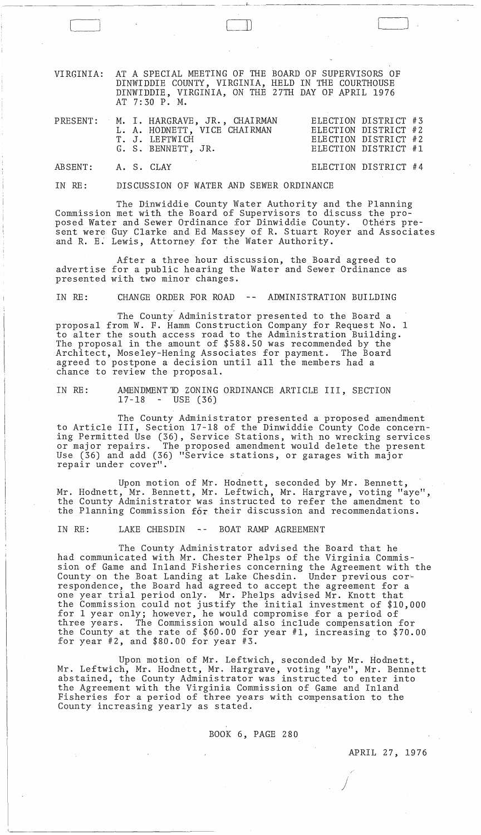VIRGINIA: AT A SPECIAL MEETING OF THE BOARD OF SUPERVISORS OF DINWIDDIE COUNTY, VIRGINIA, HELD IN THE COURTHOUSE DINWIDDIE, VIRGINIA, ON THE 27TH DAY OF APRIL 1976 AT 7: 30 P. M.

\_\_ ~L \_\_\_\_\_\_\_\_\_\_\_\_\_\_\_\_\_\_\_\_\_\_\_ \_

 $\vert$ 

|                    |  | PRESENT: M. I. HARGRAVE, JR., CHAIRMAN<br>L. A. HODNETT, VICE CHAIRMAN<br>T. J. LEFTWICH<br>G. S. BENNETT, JR. | ELECTION DISTRICT #3<br>ELECTION DISTRICT #2<br>ELECTION DISTRICT #2<br>ELECTION DISTRICT #1 |  |
|--------------------|--|----------------------------------------------------------------------------------------------------------------|----------------------------------------------------------------------------------------------|--|
| ABSENT: A. S. CLAY |  |                                                                                                                | ELECTION DISTRICT #4                                                                         |  |

IN RE: DISCUSSION OF WATER AND SEWER ORDINANCE

The Dinwiddie County Water Authority and the Planning Commission met with the Board of Supervisors to discuss the proposed Water and Sewer Ordinance for Dinwiddie County. Others present were Guy Clarke and Ed Massey of R. Stuart Royer and Associates and R. E. Lewis, Attorney for the Water Authority.

After a three hour discussion, the Board agreed to advertise for a public hearing the Water and Sewer Ordinance as presented with two minor changes.

IN RE: CHANGE ORDER FOR ROAD -- ADMINISTRATION BUILDING

The County Administrator presented to the Board a proposal from W. F. Hamm Construction Company for Request No.1 to alter the south access road to the Administration Building. The proposal in the amount of \$588.50 was recommended by the Architect, Moseley-Hening Associates for payment. The Board agreed to postpone a decision until all the members had a chance to review the proposal.

IN RE: AMENDMENT TO ZONING ORDINANCE ARTICLE III, SECTION<br>17-18 - USE (36)  $-$  USE (36)

The County Administrator presented a proposed amendment to Article III, Section 17-18 of the Dinwiddie County Code concerning Permitted Use (36), Service Stations, with no wrecking services or major repairs. The proposed amendment would delete the present Use (36) and add (36) "Service stations, or garages with major repair under cover".

Upon motion of Mr. Hodnett, seconded by Mr. Bennett, Mr. Hodnett, Mr. Bennett, Mr. Leftwich, Mr. Hargrave, voting "aye", the County Administrator was instructed to refer the amendment to the Planning Commission  $f_{0}$ r their discussion and recommendations.

IN RE: LAKE CHESDIN -- BOAT RAMP AGREEMENT

The County Administrator advised the Board that he had communicated with Mr. Chester Phelps of the Virginia Commission of Game and Inland Fisheries concerning the Agreement with the County on the Boat Landing at Lake Chesdin. Under previous correspondence, the Board had agreed to accept the agreement for a one year trial period only. Mr. Phelps advised Mr. Knott that the Commission could not justify the initial investment of \$10,000 for 1 year only; however, he would compromise for a period of three years. The Commission would also include compensation for the County at the rate of \$60.00 for year #1, increasing to \$70.00 for year  $#2$ , and  $$80.00$  for year  $#3$ .

Upon motion of Mr. Leftwich, seconded by Mr.  $\r{$   $\vdots$   $\rho$ Mr. Leftwich, Mr. Hodnett, Mr. Hargrave, voting "aye", Mr. Bennett abstained, the County Administrator was instructed to enter into the Agreement with the Virginia Commission of Game and Inland Fisheries for a period of three years with compensation to the County increasing yearly as stated.

BOOK 6, PAGE 280

APRIL 27, 1976

)